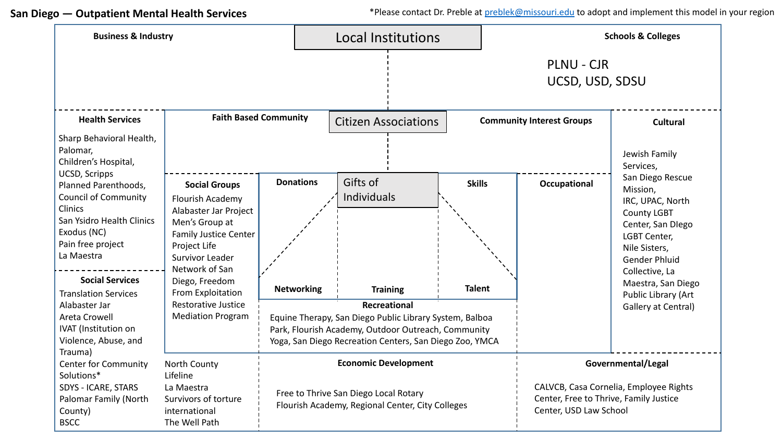**San Diego — Outpatient Mental Health Services**